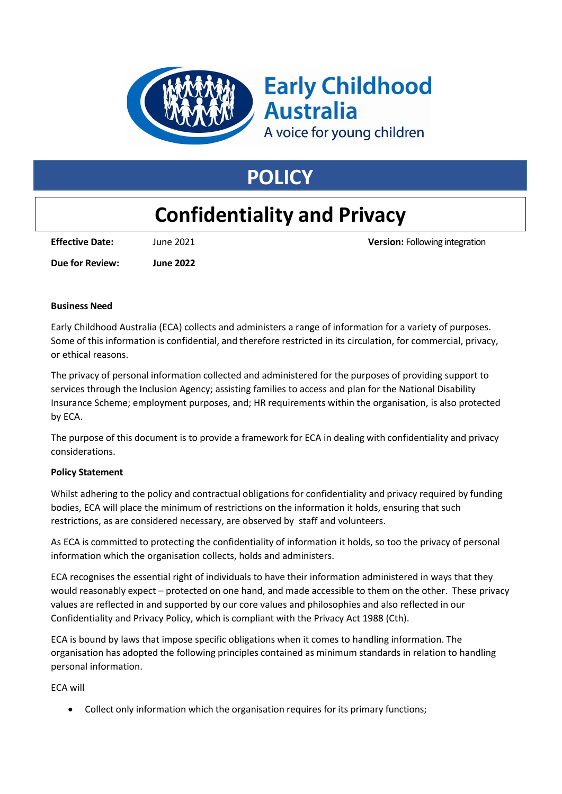

# **Early Childhood Australia**

A voice for young children

# **POLICY**

# **Confidentiality and Privacy**

**Effective Date:** June 2021 **Version:** Following integration

**Due for Review: June 2022**

## **Business Need**

Early Childhood Australia (ECA) collects and administers a range of information for a variety of purposes. Some of this information is confidential, and therefore restricted in its circulation, for commercial, privacy, or ethical reasons.

The privacy of personal information collected and administered for the purposes of providing support to services through the Inclusion Agency; assisting families to access and plan for the National Disability Insurance Scheme; employment purposes, and; HR requirements within the organisation, is also protected by ECA.

The purpose of this document is to provide a framework for ECA in dealing with confidentiality and privacy considerations.

## **Policy Statement**

Whilst adhering to the policy and contractual obligations for confidentiality and privacy required by funding bodies, ECA will place the minimum of restrictions on the information it holds, ensuring that such restrictions, as are considered necessary, are observed by staff and volunteers.

As ECA is committed to protecting the confidentiality of information it holds, so too the privacy of personal information which the organisation collects, holds and administers.

ECA recognises the essential right of individuals to have their information administered in ways that they would reasonably expect – protected on one hand, and made accessible to them on the other. These privacy values are reflected in and supported by our core values and philosophies and also reflected in our Confidentiality and Privacy Policy, which is compliant with the Privacy Act 1988 (Cth).

ECA is bound by laws that impose specific obligations when it comes to handling information. The organisation has adopted the following principles contained as minimum standards in relation to handling personal information.

ECA will

Collect only information which the organisation requires for its primary functions;